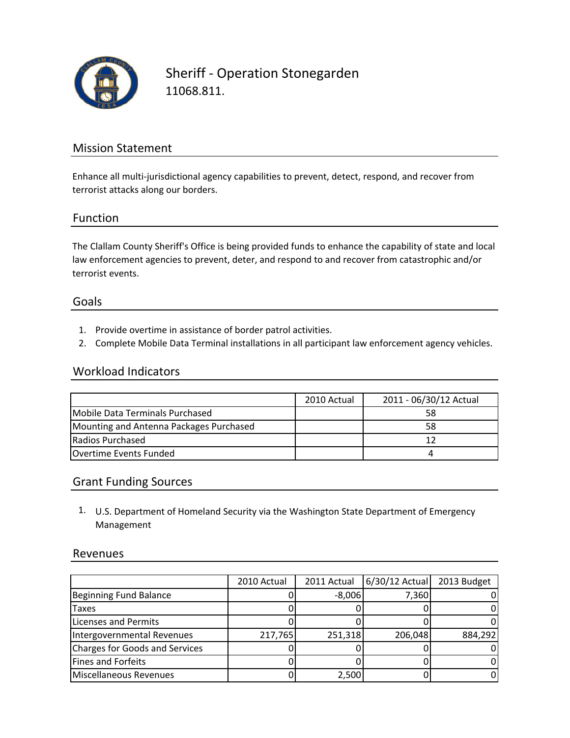

Sheriff ‐ Operation Stonegarden 11068.811.

## Mission Statement

Enhance all multi-jurisdictional agency capabilities to prevent, detect, respond, and recover from terrorist attacks along our borders.

### Function

The Clallam County Sheriff's Office is being provided funds to enhance the capability of state and local law enforcement agencies to prevent, deter, and respond to and recover from catastrophic and/or terrorist events.

#### Goals

- 1. Provide overtime in assistance of border patrol activities.
- 2. Complete Mobile Data Terminal installations in all participant law enforcement agency vehicles.

### Workload Indicators

|                                         | 2010 Actual | 2011 - 06/30/12 Actual |
|-----------------------------------------|-------------|------------------------|
| Mobile Data Terminals Purchased         |             | 58                     |
| Mounting and Antenna Packages Purchased |             | 58                     |
| Radios Purchased                        |             |                        |
| <b>IOvertime Events Funded</b>          |             |                        |

#### Grant Funding Sources

1. U.S. Department of Homeland Security via the Washington State Department of Emergency Management

#### Revenues

|                                       | 2010 Actual | 2011 Actual | $6/30/12$ Actual | 2013 Budget |
|---------------------------------------|-------------|-------------|------------------|-------------|
| Beginning Fund Balance                |             | $-8,006$    | 7,360            |             |
| Taxes                                 |             |             |                  |             |
| <b>Licenses and Permits</b>           |             |             |                  |             |
| Intergovernmental Revenues            | 217,765     | 251,318     | 206,048          | 884,292     |
| <b>Charges for Goods and Services</b> |             |             |                  |             |
| Fines and Forfeits                    |             |             |                  |             |
| Miscellaneous Revenues                |             | 2,500       |                  |             |